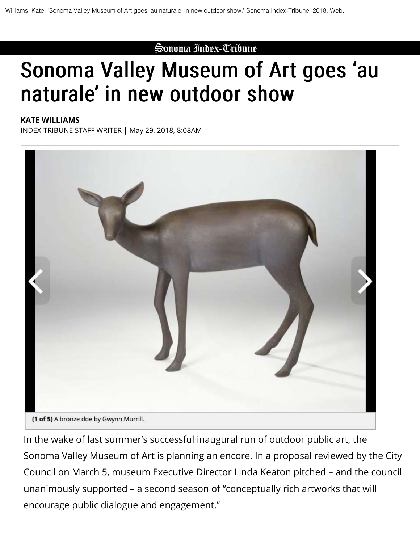Sonoma Index-Tribune

## Sonoma Valley Museum of Art goes 'au naturale' in new outdoor show

## **KATE WILLIAMS**

INDEX-TRIBUNE STAFF WRITER | May 29, 2018, 8:08AM



In the wake of last summer's successful inaugural run of outdoor public art, the Sonoma Valley Museum of Art is planning an encore. In a proposal reviewed by the City Council on March 5, museum Executive Director Linda Keaton pitched – and the council unanimously supported – a second season of "conceptually rich artworks that will encourage public dialogue and engagement."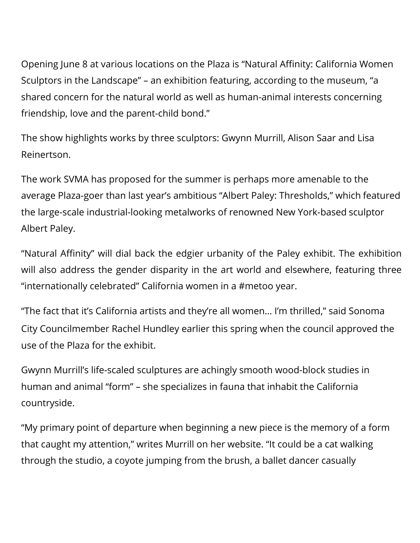Opening June 8 at various locations on the Plaza is "Natural Affinity: California Women Sculptors in the Landscape" – an exhibition featuring, according to the museum, "a shared concern for the natural world as well as human-animal interests concerning friendship, love and the parent-child bond."

The show highlights works by three sculptors: Gwynn Murrill, Alison Saar and Lisa Reinertson.

The work SVMA has proposed for the summer is perhaps more amenable to the average Plaza-goer than last year's ambitious "Albert Paley: Thresholds," which featured the large-scale industrial-looking metalworks of renowned New York-based sculptor Albert Paley.

"Natural Affinity" will dial back the edgier urbanity of the Paley exhibit. The exhibition will also address the gender disparity in the art world and elsewhere, featuring three "internationally celebrated" California women in a #metoo year.

"The fact that it's California artists and they're all women… I'm thrilled," said Sonoma City Councilmember Rachel Hundley earlier this spring when the council approved the use of the Plaza for the exhibit.

Gwynn Murrill's life-scaled sculptures are achingly smooth wood-block studies in human and animal "form" – she specializes in fauna that inhabit the California countryside.

"My primary point of departure when beginning a new piece is the memory of a form that caught my attention," writes Murrill on her website. "It could be a cat walking through the studio, a coyote jumping from the brush, a ballet dancer casually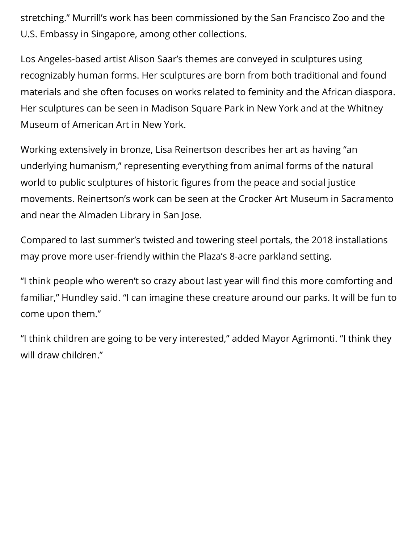stretching." Murrill's work has been commissioned by the San Francisco Zoo and the U.S. Embassy in Singapore, among other collections.

Los Angeles-based artist Alison Saar's themes are conveyed in sculptures using recognizably human forms. Her sculptures are born from both traditional and found materials and she often focuses on works related to feminity and the African diaspora. Her sculptures can be seen in Madison Square Park in New York and at the Whitney Museum of American Art in New York.

Working extensively in bronze, Lisa Reinertson describes her art as having "an underlying humanism," representing everything from animal forms of the natural world to public sculptures of historic figures from the peace and social justice movements. Reinertson's work can be seen at the Crocker Art Museum in Sacramento and near the Almaden Library in San Jose.

Compared to last summer's twisted and towering steel portals, the 2018 installations may prove more user-friendly within the Plaza's 8-acre parkland setting.

"I think people who weren't so crazy about last year will find this more comforting and familiar," Hundley said. "I can imagine these creature around our parks. It will be fun to come upon them."

"I think children are going to be very interested," added Mayor Agrimonti. "I think they will draw children."